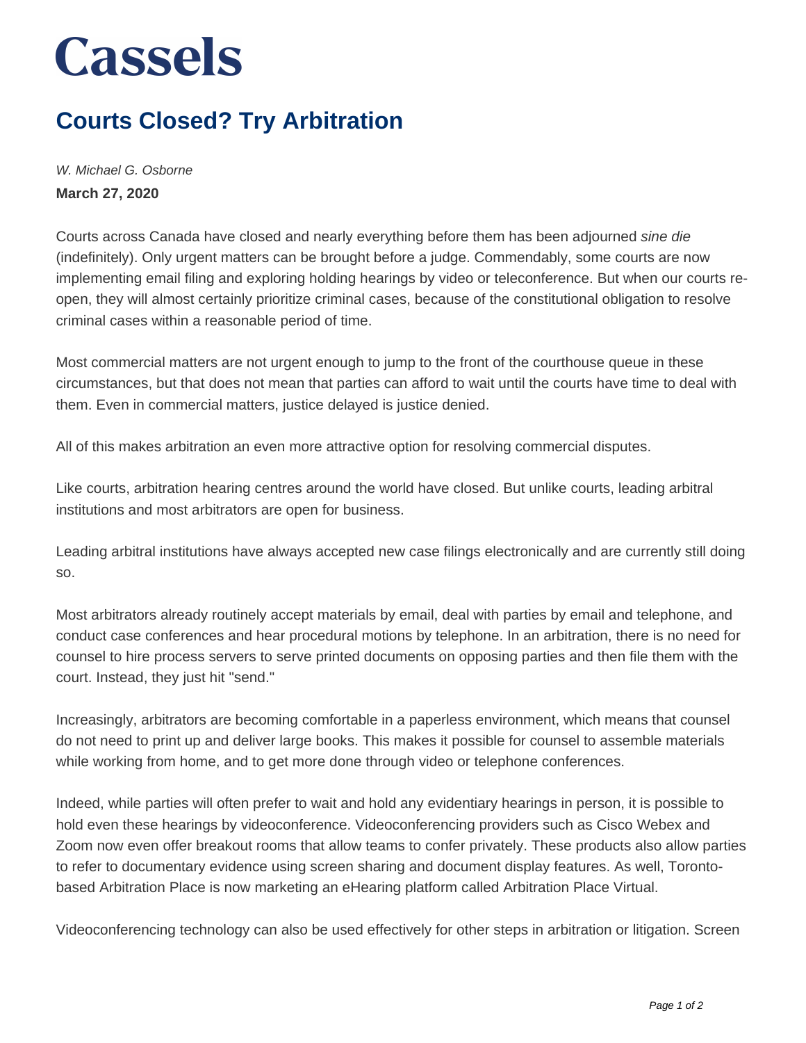## **Cassels**

## **Courts Closed? Try Arbitration**

W. Michael G. Osborne **March 27, 2020**

Courts across Canada have closed and nearly everything before them has been adjourned sine die (indefinitely). Only urgent matters can be brought before a judge. Commendably, some courts are now implementing email filing and exploring holding hearings by video or teleconference. But when our courts reopen, they will almost certainly prioritize criminal cases, because of the constitutional obligation to resolve criminal cases within a reasonable period of time.

Most commercial matters are not urgent enough to jump to the front of the courthouse queue in these circumstances, but that does not mean that parties can afford to wait until the courts have time to deal with them. Even in commercial matters, justice delayed is justice denied.

All of this makes arbitration an even more attractive option for resolving commercial disputes.

Like courts, arbitration hearing centres around the world have closed. But unlike courts, leading arbitral institutions and most arbitrators are open for business.

Leading arbitral institutions have always accepted new case filings electronically and are currently still doing so.

Most arbitrators already routinely accept materials by email, deal with parties by email and telephone, and conduct case conferences and hear procedural motions by telephone. In an arbitration, there is no need for counsel to hire process servers to serve printed documents on opposing parties and then file them with the court. Instead, they just hit "send."

Increasingly, arbitrators are becoming comfortable in a paperless environment, which means that counsel do not need to print up and deliver large books. This makes it possible for counsel to assemble materials while working from home, and to get more done through video or telephone conferences.

Indeed, while parties will often prefer to wait and hold any evidentiary hearings in person, it is possible to hold even these hearings by videoconference. Videoconferencing providers such as Cisco Webex and Zoom now even offer breakout rooms that allow teams to confer privately. These products also allow parties to refer to documentary evidence using screen sharing and document display features. As well, Torontobased Arbitration Place is now marketing an eHearing platform called Arbitration Place Virtual.

Videoconferencing technology can also be used effectively for other steps in arbitration or litigation. Screen